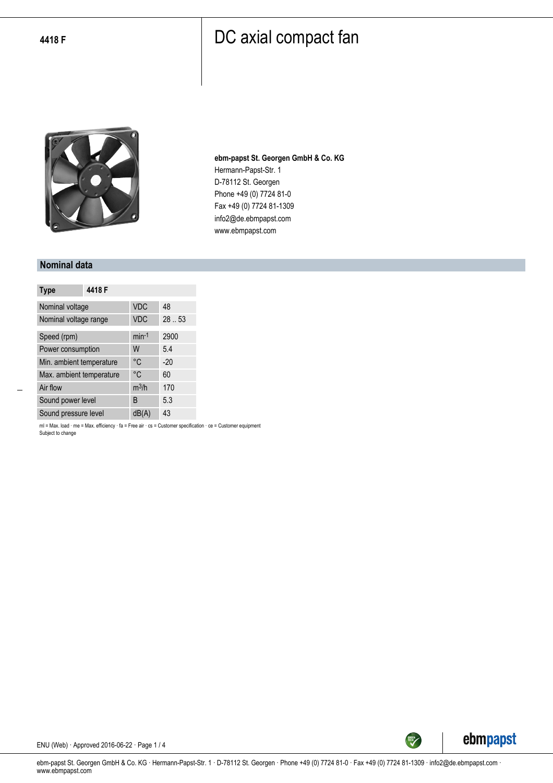

**ebm-papst St. Georgen GmbH & Co. KG** Hermann-Papst-Str. 1 D-78112 St. Georgen Phone +49 (0) 7724 81-0 Fax +49 (0) 7724 81-1309 info2@de.ebmpapst.com www.ebmpapst.com

#### **Nominal data**

| <b>Type</b>              | 4418 F |            |       |
|--------------------------|--------|------------|-------|
| Nominal voltage          |        | <b>VDC</b> | 48    |
| Nominal voltage range    |        | <b>VDC</b> | 28.53 |
| Speed (rpm)              |        | $min-1$    | 2900  |
| Power consumption        |        | W          | 5.4   |
| Min. ambient temperature |        | °C         | $-20$ |
| Max. ambient temperature |        | °C         | 60    |
| Air flow                 |        | $m^3/h$    | 170   |
| Sound power level        |        | B          | 5.3   |
| Sound pressure level     |        | dB(A)      | 43    |

ml = Max. load · me = Max. efficiency · fa = Free air · cs = Customer specification · ce = Customer equipment Subject to change



ENU (Web) · Approved 2016-06-22 · Page 1 / 4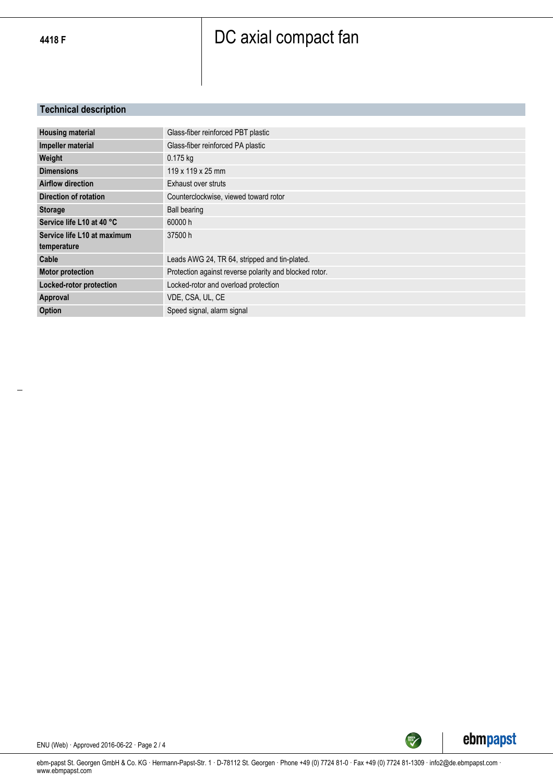#### **Technical description**

| Glass-fiber reinforced PBT plastic                     |
|--------------------------------------------------------|
| Glass-fiber reinforced PA plastic                      |
| $0.175$ kg                                             |
| 119 x 119 x 25 mm                                      |
| Exhaust over struts                                    |
| Counterclockwise, viewed toward rotor                  |
| <b>Ball bearing</b>                                    |
| 60000 h                                                |
| 37500 h                                                |
|                                                        |
| Leads AWG 24, TR 64, stripped and tin-plated.          |
| Protection against reverse polarity and blocked rotor. |
| Locked-rotor and overload protection                   |
| VDE, CSA, UL, CE                                       |
| Speed signal, alarm signal                             |
|                                                        |



SREEN

ENU (Web) · Approved 2016-06-22 · Page 2 / 4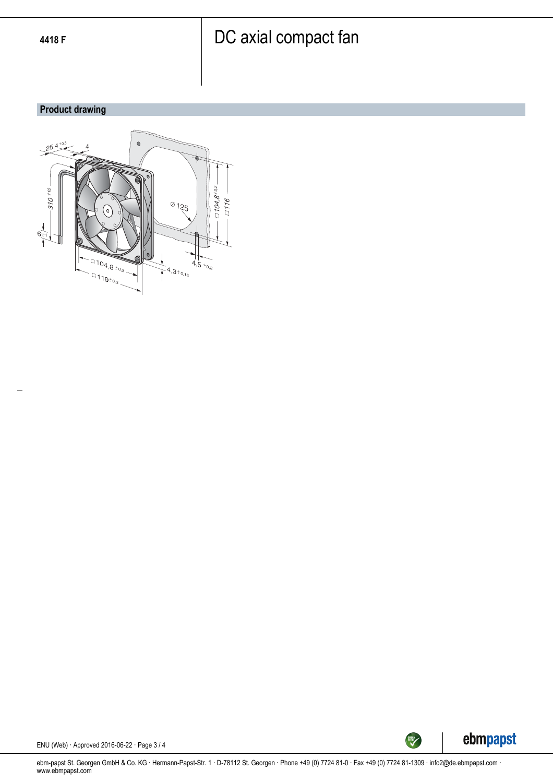#### **Product drawing**





ENU (Web) · Approved 2016-06-22 · Page 3 / 4